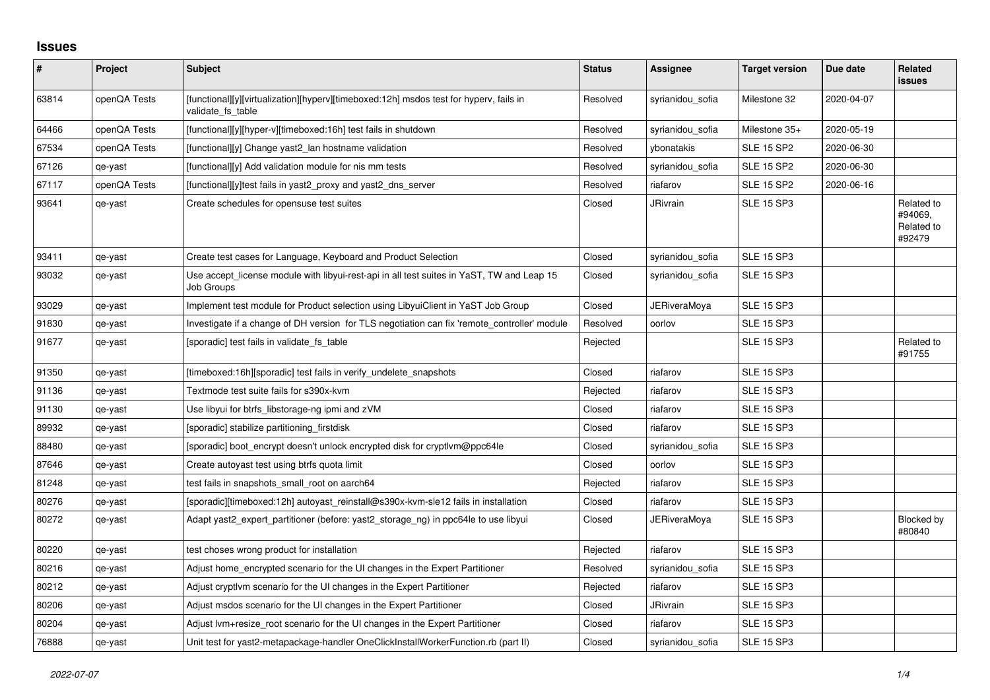## **Issues**

| $\vert$ # | Project      | <b>Subject</b>                                                                                              | <b>Status</b> | Assignee            | <b>Target version</b> | Due date   | Related<br><b>issues</b>                      |
|-----------|--------------|-------------------------------------------------------------------------------------------------------------|---------------|---------------------|-----------------------|------------|-----------------------------------------------|
| 63814     | openQA Tests | [functional][y][virtualization][hyperv][timeboxed:12h] msdos test for hyperv, fails in<br>validate fs table | Resolved      | syrianidou sofia    | Milestone 32          | 2020-04-07 |                                               |
| 64466     | openQA Tests | [functional][y][hyper-v][timeboxed:16h] test fails in shutdown                                              | Resolved      | syrianidou sofia    | Milestone 35+         | 2020-05-19 |                                               |
| 67534     | openQA Tests | [functional][y] Change yast2_lan hostname validation                                                        | Resolved      | ybonatakis          | <b>SLE 15 SP2</b>     | 2020-06-30 |                                               |
| 67126     | qe-yast      | [functional][y] Add validation module for nis mm tests                                                      | Resolved      | syrianidou_sofia    | <b>SLE 15 SP2</b>     | 2020-06-30 |                                               |
| 67117     | openQA Tests | [functional][y]test fails in yast2 proxy and yast2 dns server                                               | Resolved      | riafarov            | <b>SLE 15 SP2</b>     | 2020-06-16 |                                               |
| 93641     | qe-yast      | Create schedules for opensuse test suites                                                                   | Closed        | <b>JRivrain</b>     | <b>SLE 15 SP3</b>     |            | Related to<br>#94069,<br>Related to<br>#92479 |
| 93411     | qe-yast      | Create test cases for Language, Keyboard and Product Selection                                              | Closed        | syrianidou_sofia    | <b>SLE 15 SP3</b>     |            |                                               |
| 93032     | qe-yast      | Use accept_license module with libyui-rest-api in all test suites in YaST, TW and Leap 15<br>Job Groups     | Closed        | syrianidou_sofia    | <b>SLE 15 SP3</b>     |            |                                               |
| 93029     | qe-yast      | Implement test module for Product selection using LibyuiClient in YaST Job Group                            | Closed        | <b>JERiveraMoya</b> | <b>SLE 15 SP3</b>     |            |                                               |
| 91830     | qe-yast      | Investigate if a change of DH version for TLS negotiation can fix 'remote_controller' module                | Resolved      | oorlov              | <b>SLE 15 SP3</b>     |            |                                               |
| 91677     | qe-yast      | [sporadic] test fails in validate fs table                                                                  | Rejected      |                     | <b>SLE 15 SP3</b>     |            | Related to<br>#91755                          |
| 91350     | qe-yast      | [timeboxed:16h][sporadic] test fails in verify_undelete_snapshots                                           | Closed        | riafarov            | <b>SLE 15 SP3</b>     |            |                                               |
| 91136     | qe-yast      | Textmode test suite fails for s390x-kvm                                                                     | Rejected      | riafarov            | <b>SLE 15 SP3</b>     |            |                                               |
| 91130     | qe-yast      | Use libyui for btrfs libstorage-ng ipmi and zVM                                                             | Closed        | riafarov            | <b>SLE 15 SP3</b>     |            |                                               |
| 89932     | qe-yast      | [sporadic] stabilize partitioning_firstdisk                                                                 | Closed        | riafarov            | <b>SLE 15 SP3</b>     |            |                                               |
| 88480     | qe-yast      | [sporadic] boot_encrypt doesn't unlock encrypted disk for cryptlvm@ppc64le                                  | Closed        | syrianidou_sofia    | <b>SLE 15 SP3</b>     |            |                                               |
| 87646     | qe-yast      | Create autoyast test using btrfs quota limit                                                                | Closed        | oorlov              | <b>SLE 15 SP3</b>     |            |                                               |
| 81248     | qe-yast      | test fails in snapshots_small_root on aarch64                                                               | Rejected      | riafarov            | <b>SLE 15 SP3</b>     |            |                                               |
| 80276     | qe-yast      | [sporadic][timeboxed:12h] autoyast_reinstall@s390x-kvm-sle12 fails in installation                          | Closed        | riafarov            | <b>SLE 15 SP3</b>     |            |                                               |
| 80272     | qe-yast      | Adapt yast2 expert partitioner (before: yast2 storage ng) in ppc64le to use libyui                          | Closed        | <b>JERiveraMoya</b> | <b>SLE 15 SP3</b>     |            | Blocked by<br>#80840                          |
| 80220     | qe-yast      | test choses wrong product for installation                                                                  | Rejected      | riafarov            | <b>SLE 15 SP3</b>     |            |                                               |
| 80216     | qe-yast      | Adjust home encrypted scenario for the UI changes in the Expert Partitioner                                 | Resolved      | syrianidou_sofia    | <b>SLE 15 SP3</b>     |            |                                               |
| 80212     | qe-yast      | Adjust cryptivm scenario for the UI changes in the Expert Partitioner                                       | Rejected      | riafarov            | <b>SLE 15 SP3</b>     |            |                                               |
| 80206     | qe-yast      | Adjust msdos scenario for the UI changes in the Expert Partitioner                                          | Closed        | <b>JRivrain</b>     | <b>SLE 15 SP3</b>     |            |                                               |
| 80204     | qe-yast      | Adjust Ivm+resize root scenario for the UI changes in the Expert Partitioner                                | Closed        | riafarov            | <b>SLE 15 SP3</b>     |            |                                               |
| 76888     | qe-yast      | Unit test for yast2-metapackage-handler OneClickInstallWorkerFunction.rb (part II)                          | Closed        | syrianidou sofia    | <b>SLE 15 SP3</b>     |            |                                               |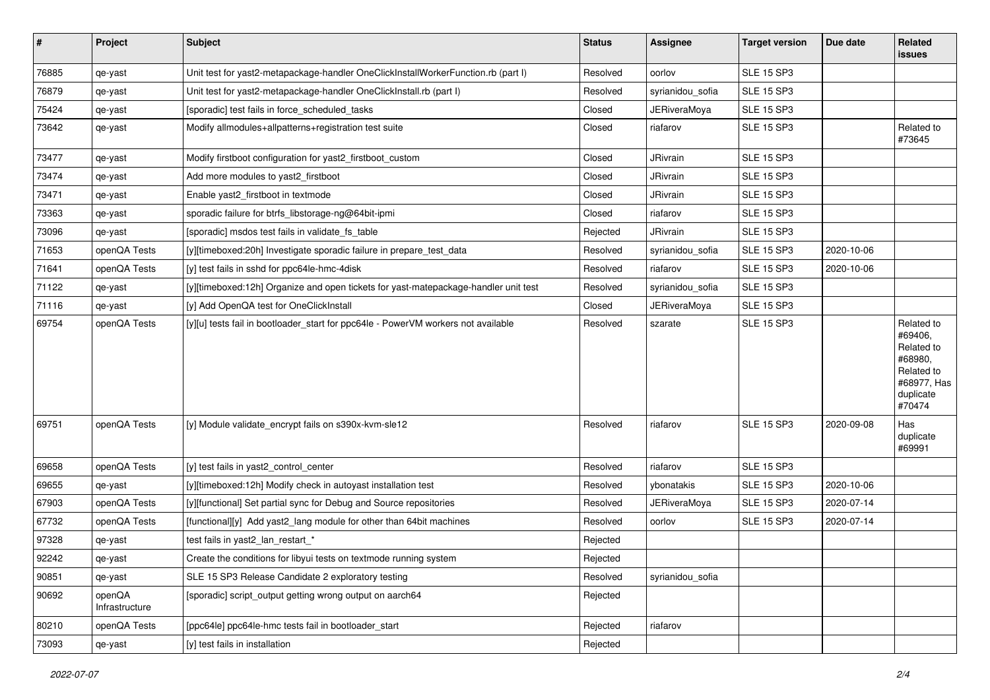| $\vert$ # | Project                  | Subject                                                                             | <b>Status</b> | Assignee            | <b>Target version</b> | Due date   | Related<br><b>issues</b>                                                                           |
|-----------|--------------------------|-------------------------------------------------------------------------------------|---------------|---------------------|-----------------------|------------|----------------------------------------------------------------------------------------------------|
| 76885     | qe-yast                  | Unit test for yast2-metapackage-handler OneClickInstallWorkerFunction.rb (part I)   | Resolved      | oorlov              | <b>SLE 15 SP3</b>     |            |                                                                                                    |
| 76879     | qe-yast                  | Unit test for yast2-metapackage-handler OneClickInstall.rb (part I)                 | Resolved      | syrianidou_sofia    | <b>SLE 15 SP3</b>     |            |                                                                                                    |
| 75424     | qe-yast                  | [sporadic] test fails in force_scheduled_tasks                                      | Closed        | <b>JERiveraMoya</b> | SLE 15 SP3            |            |                                                                                                    |
| 73642     | qe-yast                  | Modify allmodules+allpatterns+registration test suite                               | Closed        | riafarov            | <b>SLE 15 SP3</b>     |            | Related to<br>#73645                                                                               |
| 73477     | qe-yast                  | Modify firstboot configuration for yast2_firstboot_custom                           | Closed        | JRivrain            | <b>SLE 15 SP3</b>     |            |                                                                                                    |
| 73474     | qe-yast                  | Add more modules to yast2 firstboot                                                 | Closed        | JRivrain            | <b>SLE 15 SP3</b>     |            |                                                                                                    |
| 73471     | qe-yast                  | Enable yast2 firstboot in textmode                                                  | Closed        | JRivrain            | <b>SLE 15 SP3</b>     |            |                                                                                                    |
| 73363     | qe-yast                  | sporadic failure for btrfs_libstorage-ng@64bit-ipmi                                 | Closed        | riafarov            | <b>SLE 15 SP3</b>     |            |                                                                                                    |
| 73096     | qe-yast                  | [sporadic] msdos test fails in validate fs table                                    | Rejected      | JRivrain            | <b>SLE 15 SP3</b>     |            |                                                                                                    |
| 71653     | openQA Tests             | [y][timeboxed:20h] Investigate sporadic failure in prepare test data                | Resolved      | syrianidou sofia    | SLE 15 SP3            | 2020-10-06 |                                                                                                    |
| 71641     | openQA Tests             | [y] test fails in sshd for ppc64le-hmc-4disk                                        | Resolved      | riafarov            | <b>SLE 15 SP3</b>     | 2020-10-06 |                                                                                                    |
| 71122     | qe-yast                  | [y][timeboxed:12h] Organize and open tickets for yast-matepackage-handler unit test | Resolved      | syrianidou_sofia    | <b>SLE 15 SP3</b>     |            |                                                                                                    |
| 71116     | qe-yast                  | [y] Add OpenQA test for OneClickInstall                                             | Closed        | JERiveraMoya        | <b>SLE 15 SP3</b>     |            |                                                                                                    |
| 69754     | openQA Tests             | [y][u] tests fail in bootloader start for ppc64le - PowerVM workers not available   | Resolved      | szarate             | SLE 15 SP3            |            | Related to<br>#69406,<br>Related to<br>#68980,<br>Related to<br>#68977, Has<br>duplicate<br>#70474 |
| 69751     | openQA Tests             | [y] Module validate_encrypt fails on s390x-kvm-sle12                                | Resolved      | riafarov            | <b>SLE 15 SP3</b>     | 2020-09-08 | Has<br>duplicate<br>#69991                                                                         |
| 69658     | openQA Tests             | [y] test fails in yast2 control center                                              | Resolved      | riafarov            | <b>SLE 15 SP3</b>     |            |                                                                                                    |
| 69655     | qe-yast                  | [y][timeboxed:12h] Modify check in autoyast installation test                       | Resolved      | vbonatakis          | <b>SLE 15 SP3</b>     | 2020-10-06 |                                                                                                    |
| 67903     | openQA Tests             | [y][functional] Set partial sync for Debug and Source repositories                  | Resolved      | JERiveraMoya        | <b>SLE 15 SP3</b>     | 2020-07-14 |                                                                                                    |
| 67732     | openQA Tests             | [functional][y] Add yast2 lang module for other than 64bit machines                 | Resolved      | oorlov              | <b>SLE 15 SP3</b>     | 2020-07-14 |                                                                                                    |
| 97328     | qe-yast                  | test fails in yast2_lan_restart_*                                                   | Rejected      |                     |                       |            |                                                                                                    |
| 92242     | qe-yast                  | Create the conditions for libyui tests on textmode running system                   | Rejected      |                     |                       |            |                                                                                                    |
| 90851     | qe-yast                  | SLE 15 SP3 Release Candidate 2 exploratory testing                                  | Resolved      | syrianidou_sofia    |                       |            |                                                                                                    |
| 90692     | openQA<br>Infrastructure | [sporadic] script_output getting wrong output on aarch64                            | Rejected      |                     |                       |            |                                                                                                    |
| 80210     | openQA Tests             | [ppc64le] ppc64le-hmc tests fail in bootloader_start                                | Rejected      | riafarov            |                       |            |                                                                                                    |
| 73093     | qe-yast                  | [y] test fails in installation                                                      | Rejected      |                     |                       |            |                                                                                                    |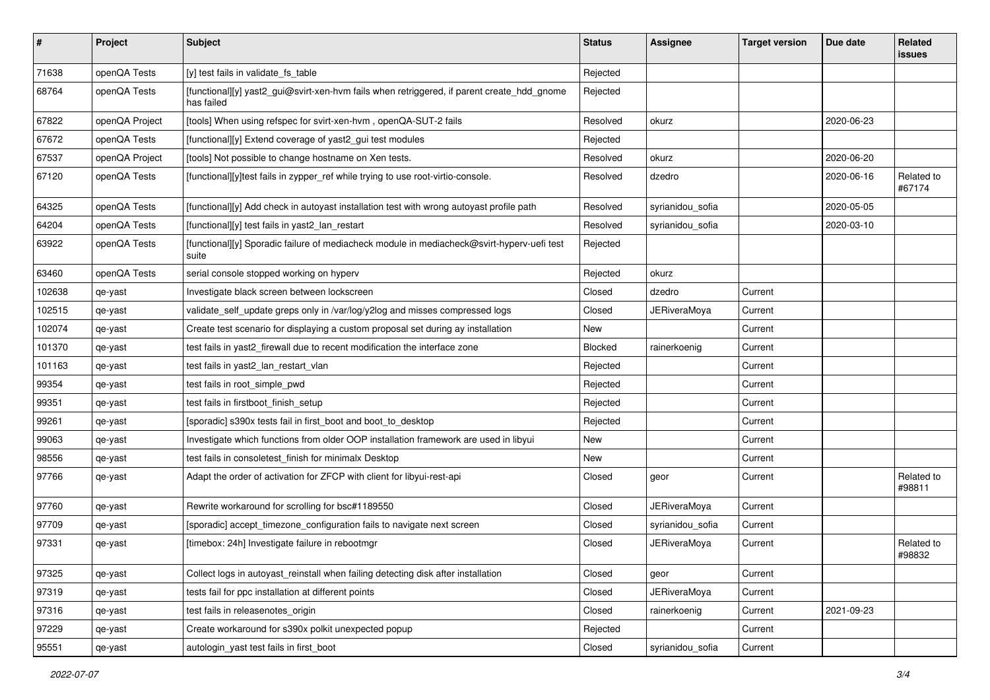| #      | Project        | <b>Subject</b>                                                                                           | <b>Status</b> | Assignee            | <b>Target version</b> | Due date   | Related<br>issues    |
|--------|----------------|----------------------------------------------------------------------------------------------------------|---------------|---------------------|-----------------------|------------|----------------------|
| 71638  | openQA Tests   | [y] test fails in validate_fs_table                                                                      | Rejected      |                     |                       |            |                      |
| 68764  | openQA Tests   | [functional][y] yast2_gui@svirt-xen-hvm fails when retriggered, if parent create_hdd_gnome<br>has failed | Rejected      |                     |                       |            |                      |
| 67822  | openQA Project | [tools] When using refspec for svirt-xen-hvm, openQA-SUT-2 fails                                         | Resolved      | okurz               |                       | 2020-06-23 |                      |
| 67672  | openQA Tests   | [functional][y] Extend coverage of yast2_gui test modules                                                | Rejected      |                     |                       |            |                      |
| 67537  | openQA Project | [tools] Not possible to change hostname on Xen tests.                                                    | Resolved      | okurz               |                       | 2020-06-20 |                      |
| 67120  | openQA Tests   | [functional][y]test fails in zypper_ref while trying to use root-virtio-console.                         | Resolved      | dzedro              |                       | 2020-06-16 | Related to<br>#67174 |
| 64325  | openQA Tests   | [functional][y] Add check in autoyast installation test with wrong autoyast profile path                 | Resolved      | syrianidou sofia    |                       | 2020-05-05 |                      |
| 64204  | openQA Tests   | [functional][y] test fails in yast2_lan_restart                                                          | Resolved      | syrianidou_sofia    |                       | 2020-03-10 |                      |
| 63922  | openQA Tests   | [functional][y] Sporadic failure of mediacheck module in mediacheck@svirt-hyperv-uefi test<br>suite      | Rejected      |                     |                       |            |                      |
| 63460  | openQA Tests   | serial console stopped working on hyperv                                                                 | Rejected      | okurz               |                       |            |                      |
| 102638 | qe-yast        | Investigate black screen between lockscreen                                                              | Closed        | dzedro              | Current               |            |                      |
| 102515 | qe-yast        | validate_self_update greps only in /var/log/y2log and misses compressed logs                             | Closed        | JERiveraMoya        | Current               |            |                      |
| 102074 | qe-yast        | Create test scenario for displaying a custom proposal set during ay installation                         | New           |                     | Current               |            |                      |
| 101370 | qe-yast        | test fails in yast2_firewall due to recent modification the interface zone                               | Blocked       | rainerkoenig        | Current               |            |                      |
| 101163 | qe-yast        | test fails in yast2_lan_restart_vlan                                                                     | Rejected      |                     | Current               |            |                      |
| 99354  | qe-yast        | test fails in root_simple_pwd                                                                            | Rejected      |                     | Current               |            |                      |
| 99351  | qe-yast        | test fails in firstboot finish setup                                                                     | Rejected      |                     | Current               |            |                      |
| 99261  | qe-yast        | [sporadic] s390x tests fail in first_boot and boot_to_desktop                                            | Rejected      |                     | Current               |            |                      |
| 99063  | qe-yast        | Investigate which functions from older OOP installation framework are used in libyui                     | New           |                     | Current               |            |                      |
| 98556  | qe-yast        | test fails in consoletest_finish for minimalx Desktop                                                    | New           |                     | Current               |            |                      |
| 97766  | qe-yast        | Adapt the order of activation for ZFCP with client for libyui-rest-api                                   | Closed        | geor                | Current               |            | Related to<br>#98811 |
| 97760  | qe-yast        | Rewrite workaround for scrolling for bsc#1189550                                                         | Closed        | <b>JERiveraMoya</b> | Current               |            |                      |
| 97709  | qe-yast        | [sporadic] accept_timezone_configuration fails to navigate next screen                                   | Closed        | syrianidou_sofia    | Current               |            |                      |
| 97331  | qe-yast        | [timebox: 24h] Investigate failure in rebootmgr                                                          | Closed        | <b>JERiveraMoya</b> | Current               |            | Related to<br>#98832 |
| 97325  | qe-yast        | Collect logs in autoyast_reinstall when failing detecting disk after installation                        | Closed        | geor                | Current               |            |                      |
| 97319  | qe-yast        | tests fail for ppc installation at different points                                                      | Closed        | <b>JERiveraMoya</b> | Current               |            |                      |
| 97316  | qe-yast        | test fails in releasenotes_origin                                                                        | Closed        | rainerkoenig        | Current               | 2021-09-23 |                      |
| 97229  | qe-yast        | Create workaround for s390x polkit unexpected popup                                                      | Rejected      |                     | Current               |            |                      |
| 95551  | qe-yast        | autologin_yast test fails in first_boot                                                                  | Closed        | syrianidou_sofia    | Current               |            |                      |